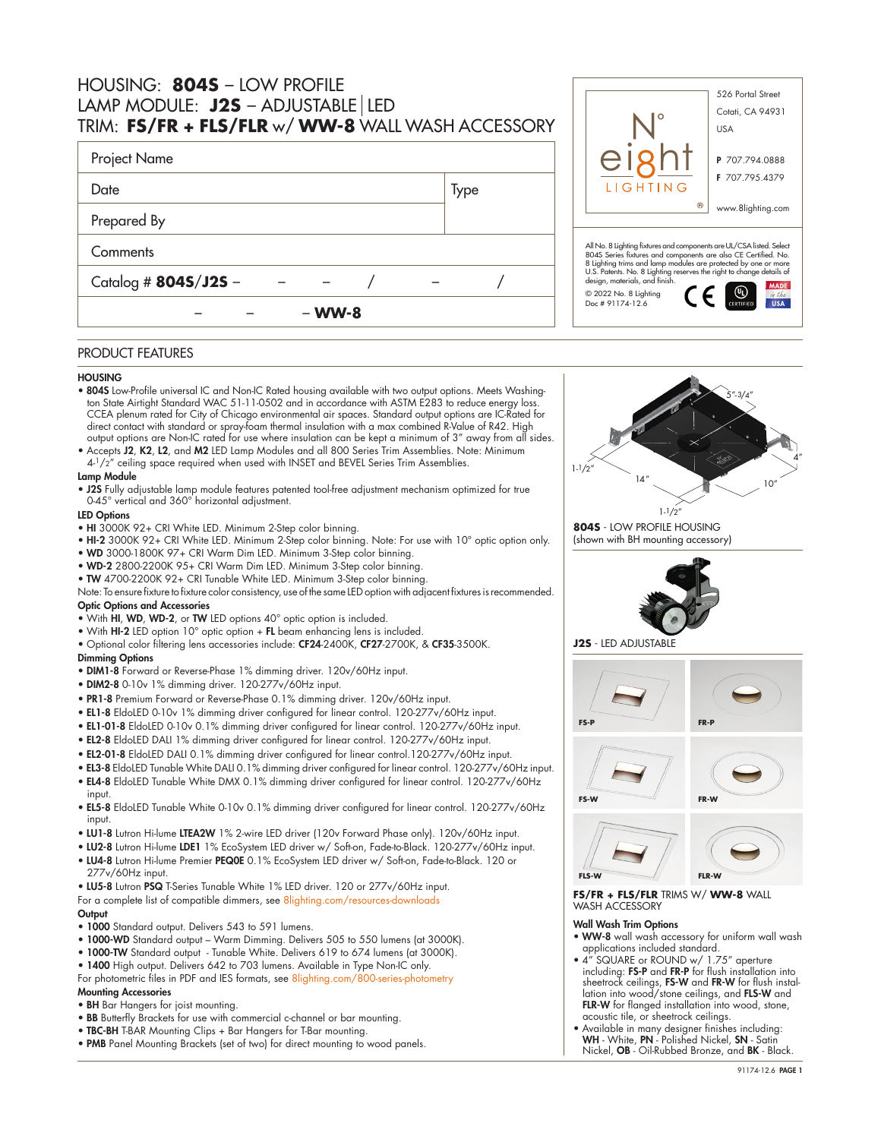| HOUSING: 8045 - LOW PROFILE<br>LAMP MODULE: $J2S - ADJUSTABLE   LED$<br>TRIM: FS/FR + FLS/FLR w/ WW-8 WALL WASH ACCESSORY |      | 526 Portal Street<br>Cotati, CA 94931<br><b>USA</b>                                                                                                                                                                                                                                                                |                   |
|---------------------------------------------------------------------------------------------------------------------------|------|--------------------------------------------------------------------------------------------------------------------------------------------------------------------------------------------------------------------------------------------------------------------------------------------------------------------|-------------------|
| Project Name                                                                                                              |      |                                                                                                                                                                                                                                                                                                                    | P 707.794.0888    |
| Date                                                                                                                      | Type | LIGHTING                                                                                                                                                                                                                                                                                                           | F 707.795.4379    |
| Prepared By                                                                                                               |      |                                                                                                                                                                                                                                                                                                                    | www.8lighting.com |
| Comments<br>Catalog # $8045/J25 -$                                                                                        |      | All No. 8 Lighting fixtures and components are UL/CSA listed. Select<br>804S Series fixtures and components are also CE Certified. No.<br>8 Lighting trims and lamp modules are protected by one or more<br>U.S. Patents. No. 8 Lighting reserves the right to change details of<br>design, materials, and finish. |                   |
|                                                                                                                           |      | © 2022 No. 8 Lighting                                                                                                                                                                                                                                                                                              | <b>MADE</b>       |

#### PRODUCT FEATURES

## **HOUSING**

• 804S Low-Profile universal IC and Non-IC Rated housing available with two output options. Meets Washington State Airtight Standard WAC 51-11-0502 and in accordance with ASTM E283 to reduce energy loss. CCEA plenum rated for City of Chicago environmental air spaces. Standard output options are IC-Rated for direct contact with standard or spray-foam thermal insulation with a max combined R-Value of R42. High output options are Non-IC rated for use where insulation can be kept a minimum of 3" away from all sides.

– – – **WW-8**

• Accepts J2, K2, L2, and M2 LED Lamp Modules and all 800 Series Trim Assemblies. Note: Minimum 4-<sup>1</sup>/2" ceiling space required when used with INSET and BEVEL Series Trim Assemblies.

## Lamp Module

• J2S Fully adjustable lamp module features patented tool-free adjustment mechanism optimized for true 0-45° vertical and 360° horizontal adjustment.

#### LED Options

- HI 3000K 92+ CRI White LED. Minimum 2-Step color binning.
- HI-2 3000K 92+ CRI White LED. Minimum 2-Step color binning. Note: For use with 10° optic option only.
- WD 3000-1800K 97+ CRI Warm Dim LED. Minimum 3-Step color binning.
- WD-2 2800-2200K 95+ CRI Warm Dim LED. Minimum 3-Step color binning.
- TW 4700-2200K 92+ CRI Tunable White LED. Minimum 3-Step color binning.
- Note: To ensure fixture to fixture color consistency, use of the same LED option with adjacent fixtures is recommended. Optic Options and Accessories
- With HI, WD, WD-2, or TW LED options 40° optic option is included.
- With HI-2 LED option 10° optic option + FL beam enhancing lens is included.
- Optional color filtering lens accessories include: CF24-2400K, CF27-2700K, & CF35-3500K.

#### Dimming Options

- DIM1-8 Forward or Reverse-Phase 1% dimming driver. 120v/60Hz input.
- DIM2-8 0-10v 1% dimming driver. 120-277v/60Hz input.
- PR1-8 Premium Forward or Reverse-Phase 0.1% dimming driver. 120v/60Hz input.
- EL1-8 EldoLED 0-10v 1% dimming driver configured for linear control. 120-277v/60Hz input.
- EL1-01-8 EldoLED 0-10v 0.1% dimming driver configured for linear control. 120-277v/60Hz input.
- EL2-8 EldoLED DALI 1% dimming driver configured for linear control. 120-277v/60Hz input.
- EL2-01-8 EldoLED DALI 0.1% dimming driver configured for linear control.120-277v/60Hz input.
- EL3-8 EldoLED Tunable White DALI 0.1% dimming driver configured for linear control. 120-277v/60Hz input.
- EL4-8 EldoLED Tunable White DMX 0.1% dimming driver configured for linear control. 120-277v/60Hz
- input. • EL5-8 EldoLED Tunable White 0-10v 0.1% dimming driver configured for linear control. 120-277v/60Hz
- input.
- LU1-8 Lutron Hi-lume LTEA2W 1% 2-wire LED driver (120v Forward Phase only). 120v/60Hz input.
- LU2-8 Lutron Hi-lume LDE1 1% EcoSystem LED driver w/ Soft-on, Fade-to-Black. 120-277v/60Hz input.
- LU4-8 Lutron Hi-lume Premier PEQ0E 0.1% EcoSystem LED driver w/ Soft-on, Fade-to-Black. 120 or 277v/60Hz input.
- LU5-8 Lutron PSQ T-Series Tunable White 1% LED driver. 120 or 277v/60Hz input.

For a complete list of compatible dimmers, see [8lighting.com/resources-downloads](https://8lighting.com/resources-downloads/)

#### **Output**

- 1000 Standard output. Delivers 543 to 591 lumens.
- 1000-WD Standard output Warm Dimming. Delivers 505 to 550 lumens (at 3000K).
- 1000-TW Standard output Tunable White. Delivers 619 to 674 lumens (at 3000K).
- 1400 High output. Delivers 642 to 703 lumens. Available in Type Non-IC only.

For photometric files in PDF and IES formats, see [8lighting.com/800-series-photometry](https://8lighting.com/800-series-photometry/) Mounting Accessories

- BH Bar Hangers for joist mounting.
- BB Butterfly Brackets for use with commercial c-channel or bar mounting.
- TBC-BH T-BAR Mounting Clips + Bar Hangers for T-Bar mounting.
- PMB Panel Mounting Brackets (set of two) for direct mounting to wood panels.



 $C \in \mathbb{C}$ 

in the

**804S** - LOW PROFILE HOUSING (shown with BH mounting accessory)

Doc # 91174-12.6







**FS/FR + FLS/FLR** TRIMS W/ **WW-8** WALL WASH ACCESSORY

## Wall Wash Trim Options

- WW-8 wall wash accessory for uniform wall wash applications included standard.
- 4" SQUARE or ROUND w/ 1.75" aperture including: FS-P and FR-P for flush installation into sheetrock ceilings, FS-W and FR-W for flush installation into wood/stone ceilings, and FLS-W and FLR-W for flanged installation into wood, stone, acoustic tile, or sheetrock ceilings.
- Available in many designer finishes including: WH White, PN Polished Nickel, SN Satin Nickel, OB - Oil-Rubbed Bronze, and BK - Black.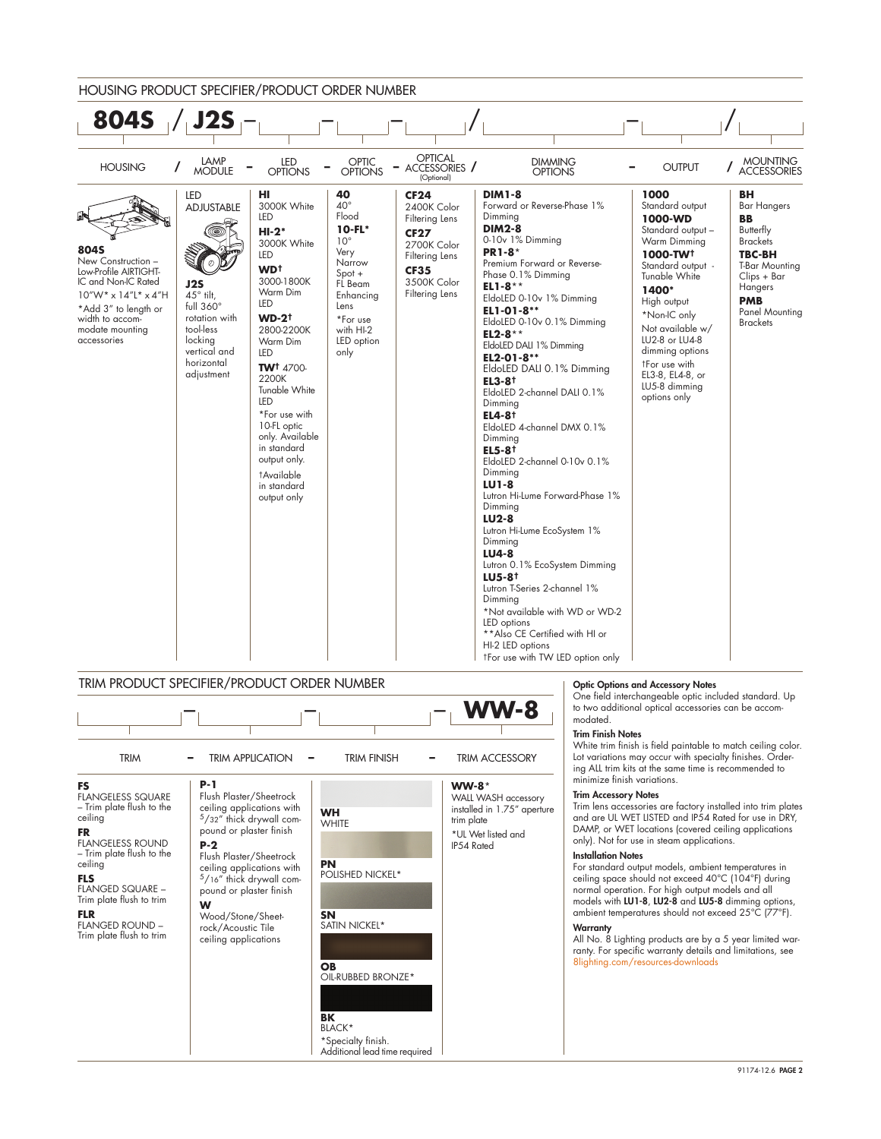

**OB** OIL-RUBBED BRONZE\*

**BK** BLACK\* \*Specialty finish. Additional lead time required

ceiling applications

Trim plate flush to trim

# Warranty

All No. 8 Lighting products are by a 5 year limited warranty. For specific warranty details and limitations, see [8lighting.com/resources-downloads](https://8lighting.com/resources-downloads/)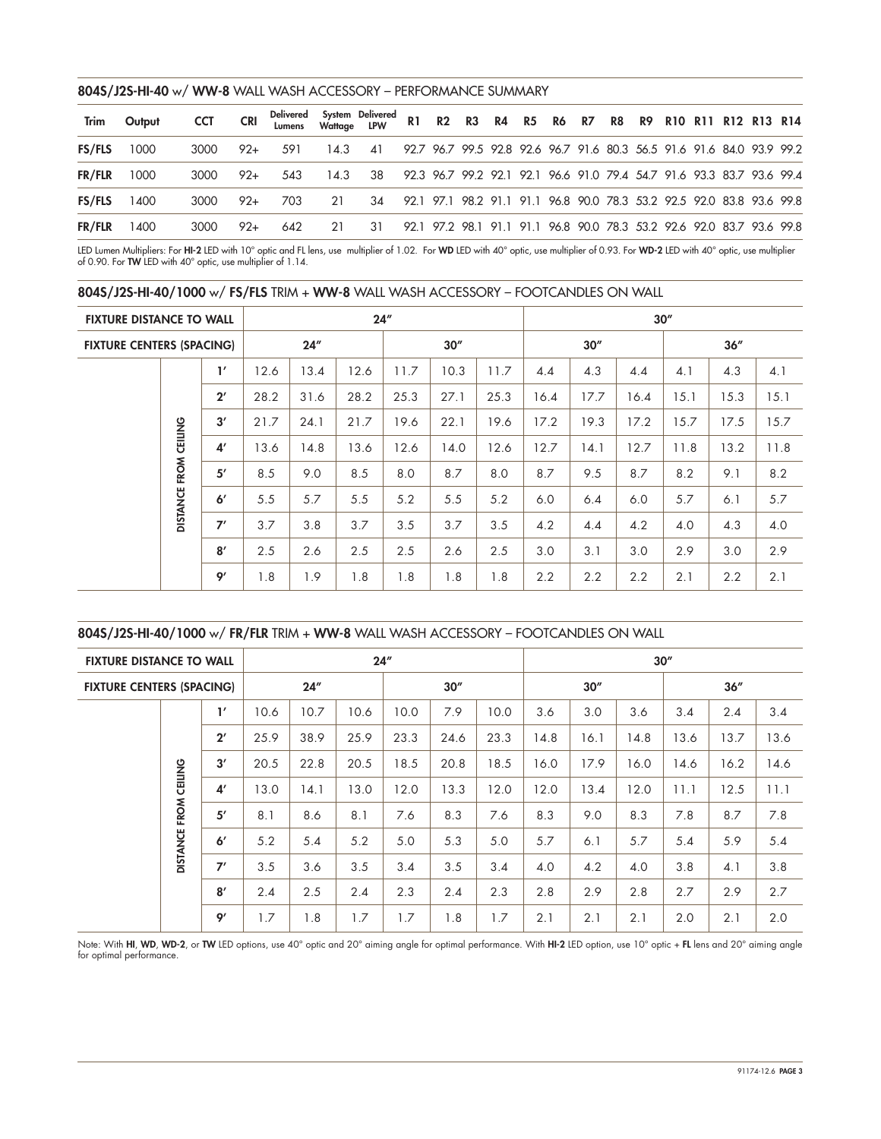## 804S/J2S-HI-40 w/ WW-8 WALL WASH ACCESSORY – PERFORMANCE SUMMARY

| Trim          | Output | <b>CCT</b> | <b>CRI</b> | Delivered System Delivered R1  R2  R3  R4  R5  R6  R7  R8  R9  R10 R11 R12 R13 R14 |    |                                                                                   |  |  |                                                                       |  |  |  |  |
|---------------|--------|------------|------------|------------------------------------------------------------------------------------|----|-----------------------------------------------------------------------------------|--|--|-----------------------------------------------------------------------|--|--|--|--|
| <b>FS/FLS</b> | 1000   | 3000       | $92+$      | - 591                                                                              |    | 14.3 41 92.7 96.7 99.5 92.8 92.6 96.7 91.6 80.3 56.5 91.6 91.6 84.0 93.9 99.2     |  |  |                                                                       |  |  |  |  |
| FR/FLR        | 1000   | 3000       | $92+$      |                                                                                    |    | 543 14.3 38 92.3 96.7 99.2 92.1 92.1 96.6 91.0 79.4 54.7 91.6 93.3 83.7 93.6 99.4 |  |  |                                                                       |  |  |  |  |
| <b>FS/FLS</b> | 1400   | 3000       | 92+        | 703                                                                                | 21 | 34 92.1 97.1 98.2 91.1 91.1 96.8 90.0 78.3 53.2 92.5 92.0 83.8 93.6 99.8          |  |  |                                                                       |  |  |  |  |
| FR/FLR        | 1400   | 3000       | $92+$      | 642                                                                                | 21 | 31                                                                                |  |  | 92.1 97.2 98.1 91.1 91.1 96.8 90.0 78.3 53.2 92.6 92.0 83.7 93.6 99.8 |  |  |  |  |

LED Lumen Multipliers: For **HI-2** LED with 10° optic and FL lens, use multiplier of 1.02. For **WD** LED with 40° optic, ose nultiplier of 0.93. For **WD-2** LED with 40° optic, use multiplier<br>of 0.90. For **TW** LED with 40°

| 804S/J2S-HI-40/1000 w/ FS/FLS TRIM + WW-8 WALL WASH ACCESSORY - FOOTCANDLES ON WALL |  |  |  |  |  |
|-------------------------------------------------------------------------------------|--|--|--|--|--|
|-------------------------------------------------------------------------------------|--|--|--|--|--|

| <b>FIXTURE DISTANCE TO WALL</b>  |                 |                | 24'' |      |      |      |      |      |      | 30'' |      |      |      |      |  |  |
|----------------------------------|-----------------|----------------|------|------|------|------|------|------|------|------|------|------|------|------|--|--|
| <b>FIXTURE CENTERS (SPACING)</b> |                 |                | 24'' |      |      |      | 30'' |      |      | 30'' |      |      | 36'' |      |  |  |
|                                  |                 | $\mathbf{I}'$  | 12.6 | 13.4 | 12.6 | 11.7 | 10.3 | 11.7 | 4.4  | 4.3  | 4.4  | 4.1  | 4.3  | 4.1  |  |  |
|                                  |                 | $2^{\prime}$   | 28.2 | 31.6 | 28.2 | 25.3 | 27.1 | 25.3 | 16.4 | 17.7 | 16.4 | 15.1 | 15.3 | 15.1 |  |  |
|                                  |                 | 3'             | 21.7 | 24.1 | 21.7 | 19.6 | 22.1 | 19.6 | 17.2 | 19.3 | 17.2 | 15.7 | 17.5 | 15.7 |  |  |
|                                  | FROM CEILING    | 4 <sup>′</sup> | 13.6 | 14.8 | 13.6 | 12.6 | 14.0 | 12.6 | 12.7 | 14.1 | 12.7 | 11.8 | 13.2 | 11.8 |  |  |
|                                  |                 | 5'             | 8.5  | 9.0  | 8.5  | 8.0  | 8.7  | 8.0  | 8.7  | 9.5  | 8.7  | 8.2  | 9.1  | 8.2  |  |  |
|                                  | <b>DISTANCE</b> | 6'             | 5.5  | 5.7  | 5.5  | 5.2  | 5.5  | 5.2  | 6.0  | 6.4  | 6.0  | 5.7  | 6.1  | 5.7  |  |  |
|                                  |                 | 7'             | 3.7  | 3.8  | 3.7  | 3.5  | 3.7  | 3.5  | 4.2  | 4.4  | 4.2  | 4.0  | 4.3  | 4.0  |  |  |
|                                  |                 | 8'             | 2.5  | 2.6  | 2.5  | 2.5  | 2.6  | 2.5  | 3.0  | 3.1  | 3.0  | 2.9  | 3.0  | 2.9  |  |  |
|                                  |                 | 9'             | 1.8  | 1.9  | 1.8  | 1.8  | 1.8  | 1.8  | 2.2  | 2.2  | 2.2  | 2.1  | 2.2  | 2.1  |  |  |

804S/J2S-HI-40/1000 w/ FR/FLR TRIM + WW-8 WALL WASH ACCESSORY – FOOTCANDLES ON WALL

| <b>FIXTURE DISTANCE TO WALL</b>  |                 |                |      | 24'' |      | 30'' |      |      |      |      |      |      |      |      |  |
|----------------------------------|-----------------|----------------|------|------|------|------|------|------|------|------|------|------|------|------|--|
| <b>FIXTURE CENTERS (SPACING)</b> |                 |                | 24'' |      |      |      | 30'' |      |      | 30'' |      |      | 36'' |      |  |
|                                  |                 | $\mathbf{1}'$  | 10.6 | 10.7 | 10.6 | 10.0 | 7.9  | 10.0 | 3.6  | 3.0  | 3.6  | 3.4  | 2.4  | 3.4  |  |
|                                  | <b>CEILING</b>  | $2^{\prime}$   | 25.9 | 38.9 | 25.9 | 23.3 | 24.6 | 23.3 | 14.8 | 16.1 | 14.8 | 13.6 | 13.7 | 13.6 |  |
|                                  |                 | 3'             | 20.5 | 22.8 | 20.5 | 18.5 | 20.8 | 18.5 | 16.0 | 17.9 | 16.0 | 14.6 | 16.2 | 14.6 |  |
|                                  |                 | 4 <sup>′</sup> | 13.0 | 14.1 | 13.0 | 12.0 | 13.3 | 12.0 | 12.0 | 13.4 | 12.0 | 11.1 | 12.5 | 11.1 |  |
|                                  | FROM            | 5'             | 8.1  | 8.6  | 8.1  | 7.6  | 8.3  | 7.6  | 8.3  | 9.0  | 8.3  | 7.8  | 8.7  | 7.8  |  |
|                                  | <b>DISTANCE</b> | 6 <sup>'</sup> | 5.2  | 5.4  | 5.2  | 5.0  | 5.3  | 5.0  | 5.7  | 6.1  | 5.7  | 5.4  | 5.9  | 5.4  |  |
|                                  |                 | 7'             | 3.5  | 3.6  | 3.5  | 3.4  | 3.5  | 3.4  | 4.0  | 4.2  | 4.0  | 3.8  | 4.1  | 3.8  |  |
|                                  |                 | 8'             | 2.4  | 2.5  | 2.4  | 2.3  | 2.4  | 2.3  | 2.8  | 2.9  | 2.8  | 2.7  | 2.9  | 2.7  |  |
|                                  |                 | 9'             | 1.7  | 1.8  | 1.7  | 1.7  | 1.8  | 1.7  | 2.1  | 2.1  | 2.1  | 2.0  | 2.1  | 2.0  |  |

Note: With HI, WD, WD-2, or TW LED options, use 40° optic and 20° aiming angle for optimal performance. With HI-2 LED option, use 10° optic + FL lens and 20° aiming angle for optimal performance.